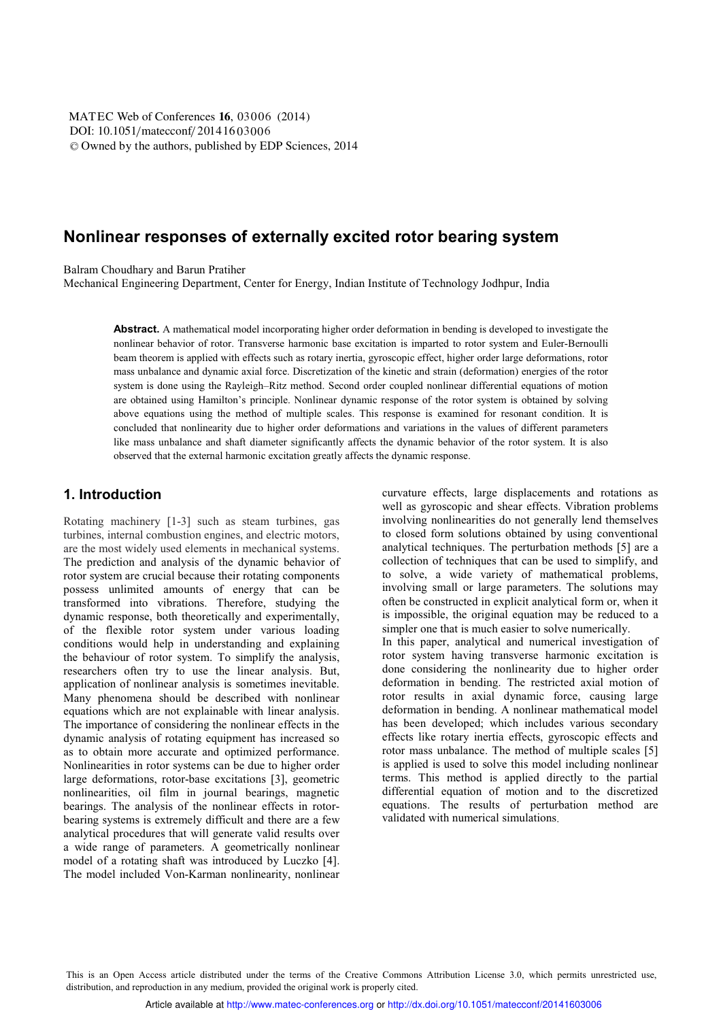DOI: 10.1051/matecconf/20141603006 -<sup>C</sup> Owned by the authors, published by EDP Sciences, 2014 MATEC Web of Conferences 16, 03006 (2014)

# **Nonlinear responses of externally excited rotor bearing system**

Balram Choudhary and Barun Pratiher

Mechanical Engineering Department, Center for Energy, Indian Institute of Technology Jodhpur, India

**Abstract.** A mathematical model incorporating higher order deformation in bending is developed to investigate the nonlinear behavior of rotor. Transverse harmonic base excitation is imparted to rotor system and Euler-Bernoulli beam theorem is applied with effects such as rotary inertia, gyroscopic effect, higher order large deformations, rotor mass unbalance and dynamic axial force. Discretization of the kinetic and strain (deformation) energies of the rotor system is done using the Rayleigh–Ritz method. Second order coupled nonlinear differential equations of motion are obtained using Hamilton's principle. Nonlinear dynamic response of the rotor system is obtained by solving above equations using the method of multiple scales. This response is examined for resonant condition. It is concluded that nonlinearity due to higher order deformations and variations in the values of different parameters like mass unbalance and shaft diameter significantly affects the dynamic behavior of the rotor system. It is also observed that the external harmonic excitation greatly affects the dynamic response.

#### **1. Introduction**

Rotating machinery [1-3] such as steam turbines, gas turbines, internal combustion engines, and electric motors, are the most widely used elements in mechanical systems. The prediction and analysis of the dynamic behavior of rotor system are crucial because their rotating components possess unlimited amounts of energy that can be transformed into vibrations. Therefore, studying the dynamic response, both theoretically and experimentally, of the flexible rotor system under various loading conditions would help in understanding and explaining the behaviour of rotor system. To simplify the analysis, researchers often try to use the linear analysis. But, application of nonlinear analysis is sometimes inevitable. Many phenomena should be described with nonlinear equations which are not explainable with linear analysis. The importance of considering the nonlinear effects in the dynamic analysis of rotating equipment has increased so as to obtain more accurate and optimized performance. Nonlinearities in rotor systems can be due to higher order large deformations, rotor-base excitations [3], geometric nonlinearities, oil film in journal bearings, magnetic bearings. The analysis of the nonlinear effects in rotorbearing systems is extremely difficult and there are a few analytical procedures that will generate valid results over a wide range of parameters. A geometrically nonlinear model of a rotating shaft was introduced by Luczko [4]. The model included Von-Karman nonlinearity, nonlinear

curvature effects, large displacements and rotations as well as gyroscopic and shear effects. Vibration problems involving nonlinearities do not generally lend themselves to closed form solutions obtained by using conventional analytical techniques. The perturbation methods [5] are a collection of techniques that can be used to simplify, and to solve, a wide variety of mathematical problems, involving small or large parameters. The solutions may often be constructed in explicit analytical form or, when it is impossible, the original equation may be reduced to a simpler one that is much easier to solve numerically. In this paper, analytical and numerical investigation of rotor system having transverse harmonic excitation is done considering the nonlinearity due to higher order deformation in bending. The restricted axial motion of rotor results in axial dynamic force, causing large deformation in bending. A nonlinear mathematical model has been developed; which includes various secondary effects like rotary inertia effects, gyroscopic effects and rotor mass unbalance. The method of multiple scales [5] is applied is used to solve this model including nonlinear terms. This method is applied directly to the partial differential equation of motion and to the discretized equations. The results of perturbation method are validated with numerical simulations.

This is an Open Access article distributed under the terms of the Creative Commons Attribution License 3.0, which permits unrestricted use, distribution, and reproduction in any medium, provided the original work is properly cited.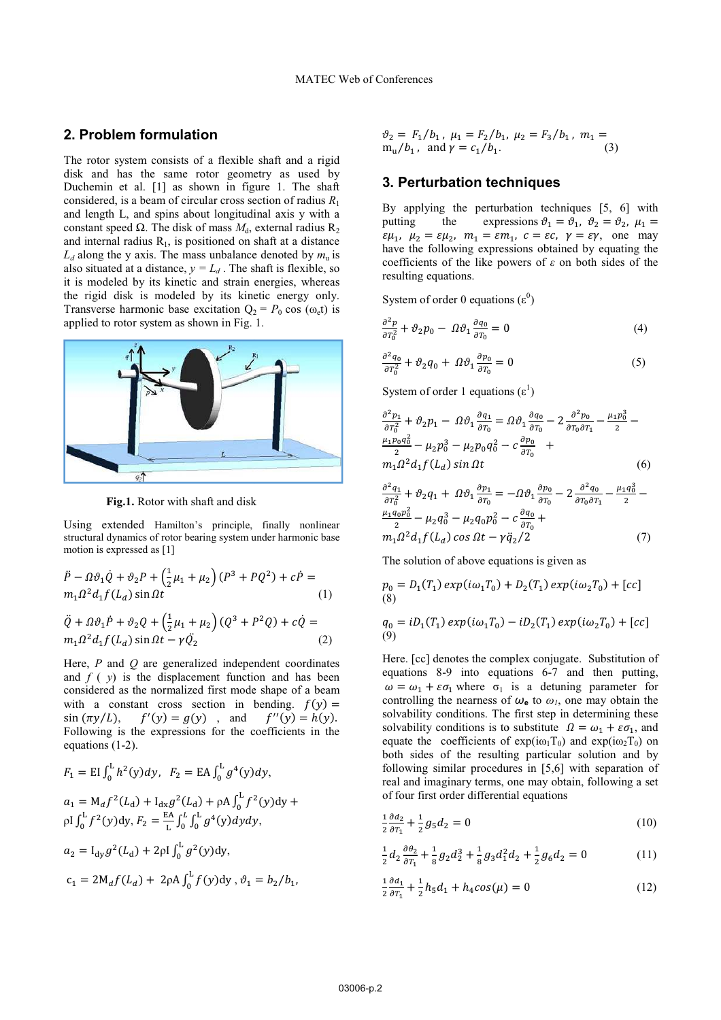#### **2. Problem formulation**

The rotor system consists of a flexible shaft and a rigid disk and has the same rotor geometry as used by Duchemin et al. [1] as shown in figure 1. The shaft considered, is a beam of circular cross se ection of radius *R*<sup>1</sup> and length L, and spins about longitudi inal axis y with a constant speed  $\Omega$ . The disk of mass  $M_{\text{d}}$ , external radius R<sub>2</sub> and internal radius  $R_1$ , is positioned on shaft at a distance  $L_d$  along the y axis. The mass unbalance denoted by  $m_u$  is also situated at a distance,  $y = L_d$ . The shaft is flexible, so it is modeled by its kinetic and strain energies, whereas the rigid disk is modeled by its kinetic energy only. Transverse harmonic base excitation  $Q_2 = P_0 \cos(\omega_e t)$  is applied to rotor system as shown in Fig. 1.



**Fig.1.** Rotor with shaft and disk k

Using extended Hamilton's principle, finally nonlinear structural dynamics of rotor bearing system under harmonic base motion is expressed as [1]

$$
\ddot{P} - \Omega \vartheta_1 \dot{Q} + \vartheta_2 P + \left(\frac{1}{2}\mu_1 + \mu_2\right) (P^3 + PQ^2) + c\dot{P} =
$$
  
\n
$$
m_1 \Omega^2 d_1 f(L_d) \sin \Omega t
$$
\n(1)  
\n
$$
\ddot{Q} + \Omega \vartheta_1 \dot{P} + \vartheta_2 Q + \left(\frac{1}{2}\mu_1 + \mu_2\right) (Q^3 + P^2 Q) + c\dot{Q} =
$$
  
\n
$$
m_1 \Omega^2 d_1 f(L_d) \sin \Omega t - \gamma \ddot{Q}_2
$$
\n(2)

Here,  $P$  and  $Q$  are generalized independent coordinates and  $f(y)$  is the displacement function and has been considered as the normalized first mode shape of a beam with a constant cross section in bending.  $f(y) =$  $sin (\pi y/L),$   $f'(y) = g(y)$ , and  $f''(y) = h(y).$ Following is the expressions for the coefficients in the equations (1-2).

$$
F_1 = \text{EI} \int_0^L h^2(y) dy, \quad F_2 = \text{EA} \int_0^L g^4(y) dy,
$$
  
\n
$$
a_1 = M_d f^2(L_d) + I_{dx} g^2(L_d) + \rho A \int_0^L f^2(y) dy +
$$
  
\n
$$
\rho I \int_0^L f^2(y) dy, \quad F_2 = \frac{\text{EA}}{L} \int_0^L \int_0^L g^4(y) dy dy,
$$
  
\n
$$
a_2 = I_{dy} g^2(L_d) + 2\rho I \int_0^L g^2(y) dy,
$$
  
\n
$$
c_1 = 2M_d f(L_d) + 2\rho A \int_0^L f(y) dy, \quad \vartheta_1 = b_2/b_1,
$$

$$
\vartheta_2 = F_1/b_1, \ \mu_1 = F_2/b_1, \ \mu_2 = F_3/b_1, \ m_1 =
$$
  
 
$$
m_u/b_1, \text{ and } \gamma = c_1/b_1.
$$
 (3)

### **3. Perturbation tech hniques**

By applying the perturbation techniques [5, 6] with putting the  $\epsilon \mu_1$ ,  $\mu_2 = \epsilon \mu_2$ ,  $m_1 = \epsilon m_1$ ,  $c = \epsilon c$ ,  $\gamma = \epsilon \gamma$ , one may have the following expressions obtained by equating the coefficients of the like powers of  $\varepsilon$  on both sides of the resulting equations. expressions  $\theta_1 = \theta_1$ ,  $\theta_2 = \theta_2$ ,  $\mu_1 =$ 

System of order 0 equations  $(\varepsilon^0)$ 

$$
\frac{\partial^2 p}{\partial \tau_0^2} + \vartheta_2 p_0 - \varOmega \vartheta_1 \frac{\partial q_0}{\partial \tau_0} = 0 \tag{4}
$$

$$
\frac{\partial^2 q_0}{\partial T_0^2} + \vartheta_2 q_0 + \varOmega \vartheta_1 \frac{\partial p_0}{\partial T_0} = 0 \tag{5}
$$

System of order 1 equations  $(\epsilon^1)$ 

$$
\frac{\partial^2 p_1}{\partial T_0^2} + \vartheta_2 p_1 - \varOmega \vartheta_1 \frac{\partial q_1}{\partial T_0} = \varOmega \vartheta_1 \frac{\partial q_0}{\partial T_0} - 2 \frac{\partial^2 p_0}{\partial T_0 \partial T_1} - \frac{\mu_1 p_0^2}{2} - \frac{\mu_1 p_0 q_0^2}{2} - \mu_2 p_0^3 - \mu_2 p_0 q_0^2 - c \frac{\partial p_0}{\partial T_0} + m_1 \varOmega^2 d_1 f(L_d) \sin \varOmega t \tag{6}
$$

$$
\frac{\partial^2 q_1}{\partial T_0^2} + \vartheta_2 q_1 + \varOmega \vartheta_1 \frac{\partial p_1}{\partial T_0} = -\varOmega \vartheta_1 \frac{\partial p_0}{\partial T_0} - 2 \frac{\partial^2 q_0}{\partial T_0 \partial T_1} - \frac{\mu_1 q_0^3}{2} - \frac{\mu_1 q_0 p_0^2}{2} - \mu_2 q_0^3 - \mu_2 q_0 p_0^2 - c \frac{\partial q_0}{\partial T_0} + m_1 \varOmega^2 d_1 f(L_d) \cos \varOmega t - \gamma q_2 / 2 \tag{7}
$$

The solution of above equations is given as

$$
p_0 = D_1(T_1) \exp(i\omega_1 T_0) + D_2(T_1) \exp(i\omega_2 T_0) + [cc]
$$
  
(8)

$$
q_0 = iD_1(T_1) \exp(i\omega_1 T_0) - iD_2(T_1) \exp(i\omega_2 T_0) + [cc]
$$
  
(9)

Here. [cc] denotes the complex conjugate. Substitution of equations  $8-9$  into equations  $6-7$  and then putting,  $\omega = \omega_1 + \varepsilon \sigma_1$  where  $\sigma_1$  is a detuning parameter for controlling the nearness of  $\omega_e$  to  $\omega_i$ , one may obtain the solvability conditions. The first step in determining these solvability conditions is to substitute  $\Omega = \omega_1 + \varepsilon \sigma_1$ , and equate the coefficients of  $exp(i\omega_1T_0)$  and  $exp(i\omega_2T_0)$  on both sides of the resulting particular solution and by following similar procedures in [5,6] with separation of real and imaginary terms, one may obtain, following a set of four first order differential equations

$$
\frac{1}{2}\frac{\partial d_2}{\partial T_1} + \frac{1}{2}g_5 d_2 = 0\tag{10}
$$

$$
\frac{1}{2}d_2\frac{\partial\theta_2}{\partial\tau_1} + \frac{1}{8}g_2d_2^3 + \frac{1}{8}g_3d_1^2d_2 + \frac{1}{2}g_6d_2 = 0
$$
\n(11)

$$
\frac{1}{2}\frac{\partial d_1}{\partial T_1} + \frac{1}{2}h_5d_1 + h_4\cos(\mu) = 0
$$
 (12)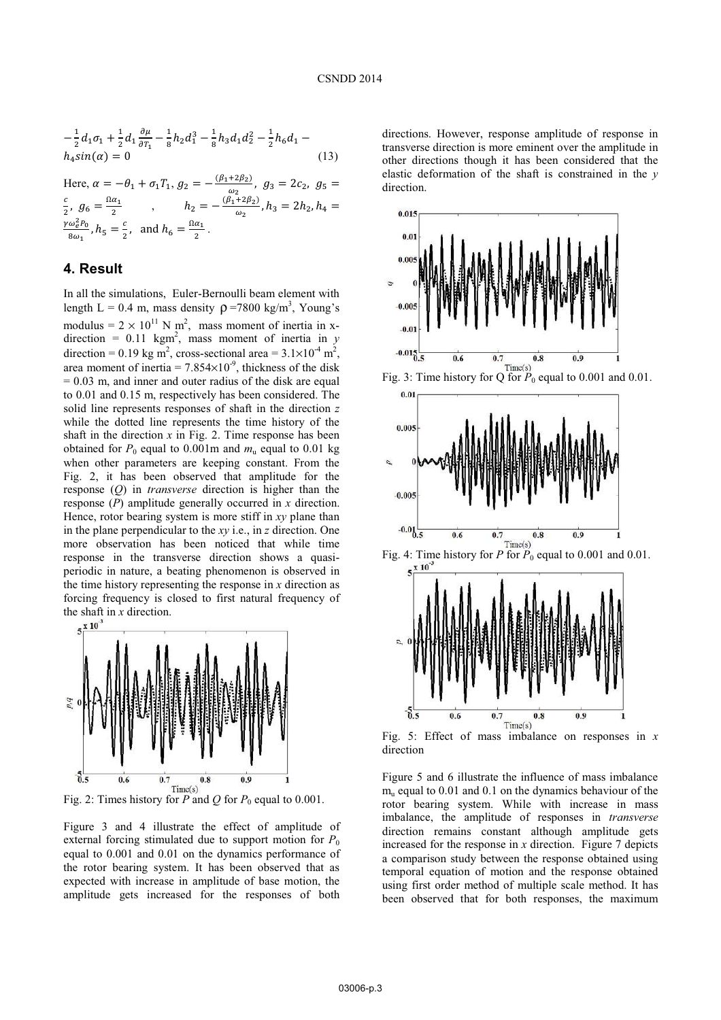$$
-\frac{1}{2}d_1\sigma_1 + \frac{1}{2}d_1\frac{\partial\mu}{\partial\tau_1} - \frac{1}{8}h_2d_1^3 - \frac{1}{8}h_3d_1d_2^2 - \frac{1}{2}h_6d_1 - h_4\sin(\alpha) = 0
$$
\n(13)

Here,  $\alpha = -\theta_1 + \sigma_1 T_1$ ,  $g_2 = -\frac{(\beta_1 + 2\beta_2)}{\omega_2}$  $\frac{1 - \mu_2}{\omega_2}$ ,  $g_3 = 2c_2$ ,  $g_5 =$  $\mathcal{C}_{0}^{2}$  $\frac{c}{2}$ ,  $g_6 = \frac{\Omega a_1}{2}$  $\frac{\alpha_1}{2}$ ,  $h_2 = -\frac{(\beta_1 + 2\beta_2)}{\omega_2}$  $\frac{1}{\omega_2}$ ,  $h_3 = 2h_2$ ,  $h_4 =$  $\gamma \omega_e^2 P_0$  $rac{\omega_e^2 P_0}{8\omega_1}$ ,  $h_5 = \frac{c}{2}$  $\frac{c}{2}$ , and  $h_6 = \frac{\Omega \alpha_1}{2}$  $\frac{a_1}{2}$ .

## **4. Result**

In all the simulations, Euler-Bernoulli beam element with length L = 0.4 m, mass density  $\rho$  =7800 kg/m<sup>3</sup>, Young's modulus =  $2 \times 10^{11}$  N m<sup>2</sup>, mass moment of inertia in xdirection =  $0.11 \text{ kgm}^2$ , mass moment of inertia in *y* direction = 0.19 kg m<sup>2</sup>, cross-sectional area =  $3.1 \times 10^{-4}$  m<sup>2</sup>, area moment of inertia =  $7.854 \times 10^{-9}$ , thickness of the disk  $= 0.03$  m, and inner and outer radius of the disk are equal to 0.01 and 0.15 m, respectively has been considered. The solid line represents responses of shaft in the direction *z* while the dotted line represents the time history of the shaft in the direction  $x$  in Fig. 2. Time response has been obtained for  $P_0$  equal to 0.001m and  $m_u$  equal to 0.01 kg when other parameters are keeping constant. From the Fig. 2, it has been observed that amplitude for the response (*Q*) in *transverse* direction is higher than the response (*P*) amplitude generally occurred in *x* direction. Hence, rotor bearing system is more stiff in *xy* plane than in the plane perpendicular to the *xy* i.e., in *z* direction. One more observation has been noticed that while time response in the transverse direction shows a quasiperiodic in nature, a beating phenomenon is observed in the time history representing the response in *x* direction as forcing frequency is closed to first natural frequency of the shaft in *x* direction.<br> $5^{\times}10^3$ 



Fig. 2: Times history for *P* and *Q* for  $P_0$  equal to 0.001.

Figure 3 and 4 illustrate the effect of amplitude of external forcing stimulated due to support motion for  $P_0$ equal to 0.001 and 0.01 on the dynamics performance of the rotor bearing system. It has been observed that as expected with increase in amplitude of base motion, the amplitude gets increased for the responses of both directions. However, response amplitude of response in transverse direction is more eminent over the amplitude in other directions though it has been considered that the elastic deformation of the shaft is constrained in the *y*  direction.



Figure 5 and 6 illustrate the influence of mass imbalance  $m<sub>u</sub>$  equal to 0.01 and 0.1 on the dynamics behaviour of the rotor bearing system. While with increase in mass imbalance, the amplitude of responses in *transverse* direction remains constant although amplitude gets increased for the response in *x* direction. Figure 7 depicts a comparison study between the response obtained using temporal equation of motion and the response obtained using first order method of multiple scale method. It has been observed that for both responses, the maximum